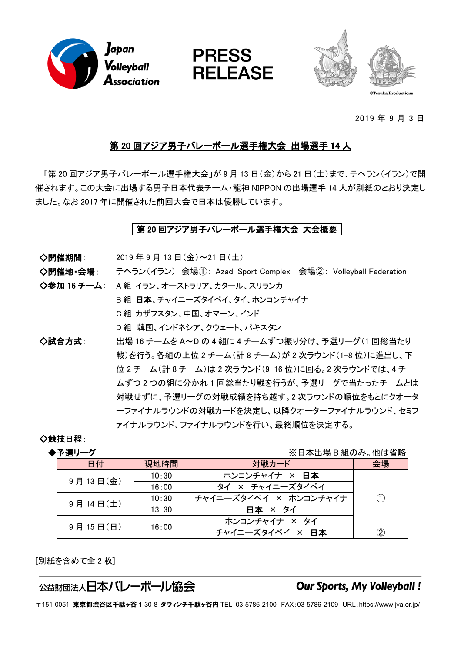





2019 年 9 月 3 日

# 第20回アジア男子バレーボール選手権大会 出場選手 14 人

「第20回アジア男子バレーボール選手権大会」が9月13日(金)から21日(土)まで、テヘラン(イラン)で開 催されます。この大会に出場する男子日本代表チーム・龍神 NIPPON の出場選手 14 人が別紙のとおり決定し ました。なお 2017 年に開催された前回大会で日本は優勝しています。

# │第 20 回アジア男子バレーボール選手権大会 大会概要│

◇開催期間: 2019年9月13日(金)~21日(土)

◇開催地·会場: テヘラン(イラン) 会場(1): Azadi Sport Complex 会場②: Volleyball Federation

◇参加 16 チーム: A 組 イラン、オーストラリア、カタール、スリランカ

B 組 日本、チャイニーズタイペイ、タイ、ホンコンチャイナ

C 組 カザフスタン、中国、オマーン、インド

D 組 韓国、インドネシア、クウェート、パキスタン

◇試合方式: 40 出場 16 チームを A~D の 4 組に 4 チームずつ振り分け、予選リーグ (1 回総当たり 戦)を行う。各組の上位2チーム(計8チーム)が2次ラウンド(1-8位)に進出し、下 位 2 チーム(計 8 チーム)は 2 次ラウンド(9-16 位)に回る。2 次ラウンドでは、4 チー ムずつ2つの組に分かれ1回総当たり戦を行うが、予選リーグで当たったチームとは 対戦せずに、予選リーグの対戦成績を持ち越す。2次ラウンドの順位をもとにクオータ 一ファイナルラウンドの対戦カードを決定し、以降クオーターファイナルラウンド、セミフ ァイナルラウンドを行い、最終順位を決定する。

# ◇競技日程:

**◆予選リーグ** ※日本出場 B 組のみ。他は省略

| 日付       | 現地時間  | 対戦カード                 | 会場 |
|----------|-------|-----------------------|----|
| 9月13日(金) | 10:30 | ホンコンチャイナ × 日本         |    |
|          | 16:00 | タイ × チャイニーズタイペイ       |    |
| 9月14日(土) | 10:30 | チャイニーズタイペイ × ホンコンチャイナ |    |
|          | 13:30 | 日本 × タイ               |    |
| 9月15日(日) | 16:00 | ホンコンチャイナ × タイ         |    |
|          |       | チャイニーズタイペイ × 日本       |    |

[別紙を含めて全 2 枚]

# 公益財団法人日本バレーボール協会

# **Our Sports, My Volleyball!**

〒151-0051 東京都渋谷区千駄ヶ谷 1-30-8 ダヴィンチ千駄ヶ谷内 TEL:03-5786-2100 FAX:03-5786-2109 URL:https://www.jva.or.jp/